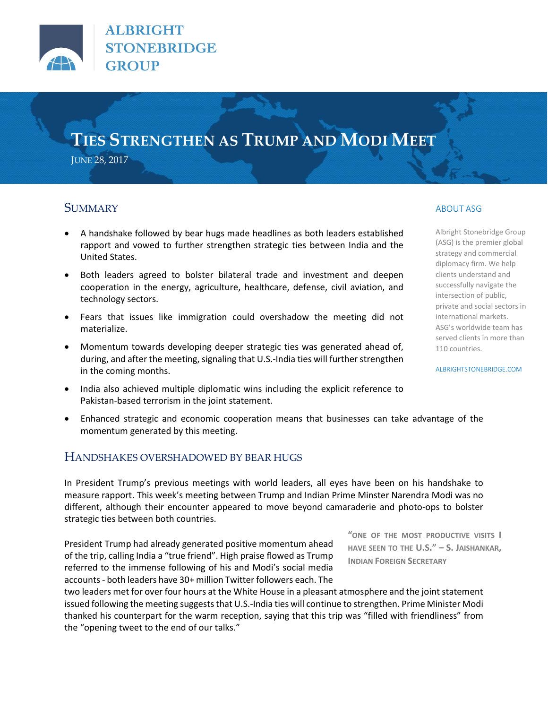

**ALBRIGHT STONEBRIDGE GROUP** 

# **TIES STRENGTHEN AS TRUMP AND MODI MEET**

JUNE 28, 2017

## **SUMMARY**

- A handshake followed by bear hugs made headlines as both leaders established rapport and vowed to further strengthen strategic ties between India and the United States.
- Both leaders agreed to bolster bilateral trade and investment and deepen cooperation in the energy, agriculture, healthcare, defense, civil aviation, and technology sectors.
- Fears that issues like immigration could overshadow the meeting did not materialize.
- Momentum towards developing deeper strategic ties was generated ahead of, during, and after the meeting, signaling that U.S.-India ties will further strengthen in the coming months.
- India also achieved multiple diplomatic wins including the explicit reference to Pakistan-based terrorism in the joint statement.
- Enhanced strategic and economic cooperation means that businesses can take advantage of the momentum generated by this meeting.

## HANDSHAKES OVERSHADOWED BY BEAR HUGS

In President Trump's previous meetings with world leaders, all eyes have been on his handshake to measure rapport. This week's meeting between Trump and Indian Prime Minster Narendra Modi was no different, although their encounter appeared to move beyond camaraderie and photo-ops to bolster strategic ties between both countries.

President Trump had already generated positive momentum ahead of the trip, calling India a "true friend". High praise flowed as Trump referred to the immense following of his and Modi's social media accounts - both leaders have 30+ million Twitter followers each. The

two leaders met for over four hours at the White House in a pleasant atmosphere and the joint statement issued following the meeting suggeststhat U.S.-India ties will continue to strengthen. Prime Minister Modi thanked his counterpart for the warm reception, saying that this trip was "filled with friendliness" from the "opening tweet to the end of our talks."

ABOUT ASG

Albright Stonebridge Group (ASG) is the premier global strategy and commercial diplomacy firm. We help clients understand and successfully navigate the intersection of public, private and social sectors in international markets. ASG's worldwide team has served clients in more than 110 countries.

[ALBRIGHTSTONEBRIDGE.COM](http://www.albrightstonebridge.com/)

**"ONE OF THE MOST PRODUCTIVE VISITS I HAVE SEEN TO THE U.S." – S. JAISHANKAR,**

**INDIAN FOREIGN SECRETARY**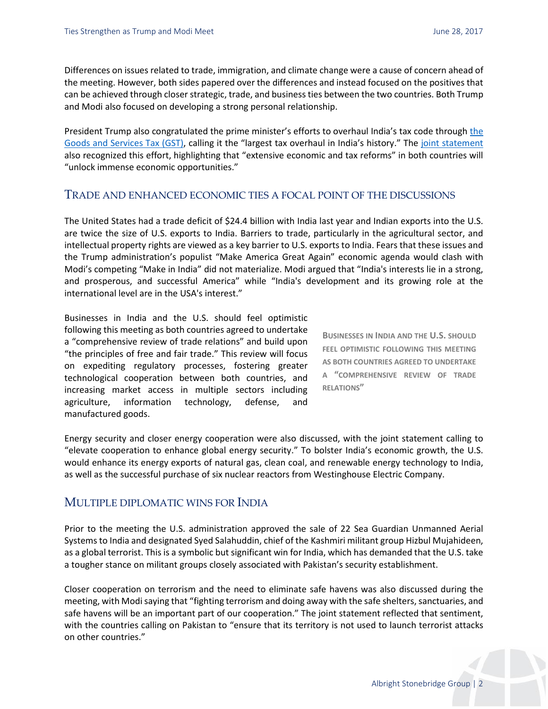Differences on issues related to trade, immigration, and climate change were a cause of concern ahead of the meeting. However, both sides papered over the differences and instead focused on the positives that can be achieved through closer strategic, trade, and business ties between the two countries. Both Trump and Modi also focused on developing a strong personal relationship.

President Trump also congratulated [the](http://www.albrightstonebridge.com/news/asg-analysis-indias-gst-explained) prime minister's efforts to overhaul India's tax code through the [Goods and Services Tax \(GST\),](http://www.albrightstonebridge.com/news/asg-analysis-indias-gst-explained) calling it the "largest tax overhaul in India's history." The [joint statement](https://www.whitehouse.gov/the-press-office/2017/06/26/united-states-and-india-prosperity-through-partnership) also recognized this effort, highlighting that "extensive economic and tax reforms" in both countries will "unlock immense economic opportunities."

#### TRADE AND ENHANCED ECONOMIC TIES A FOCAL POINT OF THE DISCUSSIONS

The United States had a trade deficit of \$24.4 billion with India last year and Indian exports into the U.S. are twice the size of U.S. exports to India. Barriers to trade, particularly in the agricultural sector, and intellectual property rights are viewed as a key barrier to U.S. exports to India. Fears that these issues and the Trump administration's populist "Make America Great Again" economic agenda would clash with Modi's competing "Make in India" did not materialize. Modi argued that "India's interests lie in a strong, and prosperous, and successful America" while "India's development and its growing role at the international level are in the USA's interest."

Businesses in India and the U.S. should feel optimistic following this meeting as both countries agreed to undertake a "comprehensive review of trade relations" and build upon "the principles of free and fair trade." This review will focus on expediting regulatory processes, fostering greater technological cooperation between both countries, and increasing market access in multiple sectors including agriculture, information technology, defense, and manufactured goods.

**BUSINESSES IN INDIA AND THE U.S. SHOULD FEEL OPTIMISTIC FOLLOWING THIS MEETING AS BOTH COUNTRIES AGREED TO UNDERTAKE A "COMPREHENSIVE REVIEW OF TRADE RELATIONS"**

Energy security and closer energy cooperation were also discussed, with the joint statement calling to "elevate cooperation to enhance global energy security." To bolster India's economic growth, the U.S. would enhance its energy exports of natural gas, clean coal, and renewable energy technology to India, as well as the successful purchase of six nuclear reactors from Westinghouse Electric Company.

### MULTIPLE DIPLOMATIC WINS FOR INDIA

Prior to the meeting the U.S. administration approved the sale of 22 Sea Guardian Unmanned Aerial Systems to India and designated Syed Salahuddin, chief of the Kashmiri militant group Hizbul Mujahideen, as a global terrorist. This is a symbolic but significant win for India, which has demanded that the U.S. take a tougher stance on militant groups closely associated with Pakistan's security establishment.

Closer cooperation on terrorism and the need to eliminate safe havens was also discussed during the meeting, with Modi saying that "fighting terrorism and doing away with the safe shelters, sanctuaries, and safe havens will be an important part of our cooperation." The joint statement reflected that sentiment, with the countries calling on Pakistan to "ensure that its territory is not used to launch terrorist attacks on other countries."